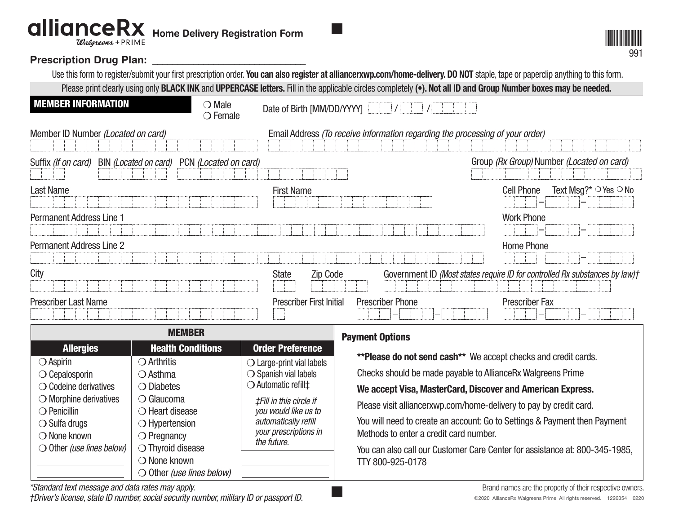## **allianceRx** Home Delivery Registration Form Walgreens + PRIME

## Prescription Drug Plan: \_\_\_\_\_\_\_\_\_\_\_

991

| Use this form to register/submit your first prescription order. You can also register at alliancerxwp.com/home-delivery. DO NOT staple, tape or paperclip anything to this form.         |                                 |                                                                               |                                                                              |
|------------------------------------------------------------------------------------------------------------------------------------------------------------------------------------------|---------------------------------|-------------------------------------------------------------------------------|------------------------------------------------------------------------------|
| Please print clearly using only <b>BLACK INK</b> and <b>UPPERCASE letters.</b> Fill in the applicable circles completely ( $\bullet$ ). Not all ID and Group Number boxes may be needed. |                                 |                                                                               |                                                                              |
| <b>MEMBER INFORMATION</b><br>$\bigcirc$ Male<br>$\bigcirc$ Female                                                                                                                        | Date of Birth [MM/DD/YYYY]      |                                                                               |                                                                              |
| Member ID Number (Located on card)                                                                                                                                                       |                                 | Email Address (To receive information regarding the processing of your order) |                                                                              |
| PCN (Located on card)<br>BIN (Located on card)<br>Suffix (If on card)                                                                                                                    |                                 |                                                                               | Group (Rx Group) Number (Located on card)                                    |
| <b>Last Name</b>                                                                                                                                                                         | <b>First Name</b>               |                                                                               | Text Msg?* $\circ$ Yes $\circ$ No<br><b>Cell Phone</b>                       |
| <b>Permanent Address Line 1</b>                                                                                                                                                          |                                 |                                                                               | <b>Work Phone</b>                                                            |
| <b>Permanent Address Line 2</b>                                                                                                                                                          |                                 |                                                                               | Home Phone                                                                   |
| City                                                                                                                                                                                     | Zip Code<br><b>State</b>        |                                                                               | Government ID (Most states require ID for controlled Rx substances by law) t |
| <b>Prescriber Last Name</b>                                                                                                                                                              | <b>Prescriber First Initial</b> | <b>Prescriber Phone</b>                                                       | <b>Prescriber Fax</b>                                                        |

| <b>MEMBER</b>                                            |                                           |                                                                                                                                               | <b>Payment Options</b>                                                      |                                                                    |
|----------------------------------------------------------|-------------------------------------------|-----------------------------------------------------------------------------------------------------------------------------------------------|-----------------------------------------------------------------------------|--------------------------------------------------------------------|
| <b>Allergies</b>                                         | <b>Health Conditions</b>                  | <b>Order Preference</b>                                                                                                                       | <b>**Please do not send cash**</b> We accept checks and credit cards.       |                                                                    |
| $\bigcirc$ Aspirin<br>$\bigcirc$ Cepalosporin            | $\bigcirc$ Arthritis<br>$\bigcirc$ Asthma | $\bigcirc$ Large-print vial labels<br>$\bigcirc$ Spanish vial labels                                                                          | Checks should be made payable to AllianceRx Walgreens Prime                 |                                                                    |
| $\bigcirc$ Codeine derivatives                           | $\bigcirc$ Diabetes                       | D Automatic refill‡<br><b>‡Fill in this circle if</b><br>you would like us to<br>automatically refill<br>your prescriptions in<br>the future. | $\bigcirc$ Glaucoma                                                         | We accept Visa, MasterCard, Discover and American Express.         |
| $\bigcirc$ Morphine derivatives<br>$\bigcirc$ Penicillin | $\bigcirc$ Heart disease                  |                                                                                                                                               |                                                                             | Please visit alliancerxwp.com/home-delivery to pay by credit card. |
| $\bigcirc$ Sulfa drugs                                   | $\bigcirc$ Hypertension                   |                                                                                                                                               | You will need to create an account: Go to Settings & Payment then Payment   |                                                                    |
| $\bigcirc$ None known                                    | $\bigcirc$ Pregnancy                      |                                                                                                                                               | Methods to enter a credit card number.                                      |                                                                    |
| $\bigcirc$ Other <i>(use lines below)</i>                | $\bigcirc$ Thyroid disease                |                                                                                                                                               | You can also call our Customer Care Center for assistance at: 800-345-1985, |                                                                    |
|                                                          | $\bigcirc$ None known                     |                                                                                                                                               | TTY 800-925-0178                                                            |                                                                    |
|                                                          | $\bigcirc$ Other <i>(use lines below)</i> |                                                                                                                                               |                                                                             |                                                                    |